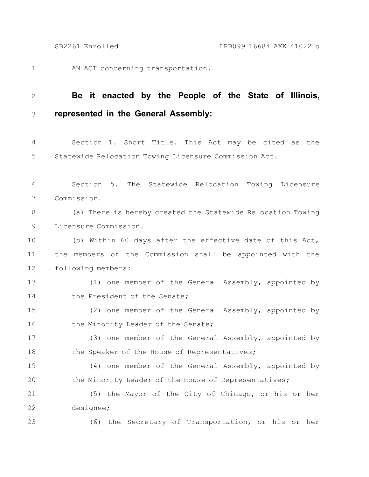23

AN ACT concerning transportation. 1

## **Be it enacted by the People of the State of Illinois, represented in the General Assembly:** 2 3

Section 1. Short Title. This Act may be cited as the Statewide Relocation Towing Licensure Commission Act. 4 5

Section 5. The Statewide Relocation Towing Licensure Commission. 6 7

(a) There is hereby created the Statewide Relocation Towing Licensure Commission. 8 9

(b) Within 60 days after the effective date of this Act, the members of the Commission shall be appointed with the following members: 10 11 12

(1) one member of the General Assembly, appointed by the President of the Senate; 13 14

(2) one member of the General Assembly, appointed by the Minority Leader of the Senate; 15 16

(3) one member of the General Assembly, appointed by the Speaker of the House of Representatives; 17 18

(4) one member of the General Assembly, appointed by the Minority Leader of the House of Representatives; 19 20

(5) the Mayor of the City of Chicago, or his or her designee; 21 22

(6) the Secretary of Transportation, or his or her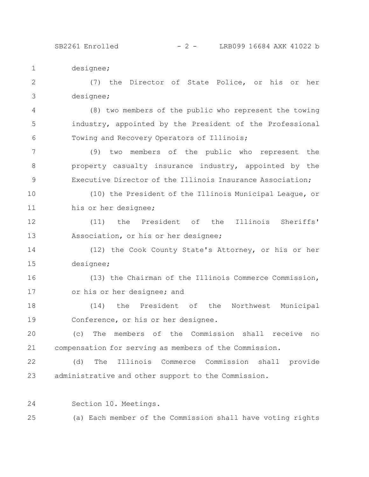designee; 1

(7) the Director of State Police, or his or her designee; 2 3

(8) two members of the public who represent the towing industry, appointed by the President of the Professional Towing and Recovery Operators of Illinois; 4 5 6

(9) two members of the public who represent the property casualty insurance industry, appointed by the Executive Director of the Illinois Insurance Association; 7 8 9

(10) the President of the Illinois Municipal League, or his or her designee; 10 11

(11) the President of the Illinois Sheriffs' Association, or his or her designee; 12 13

(12) the Cook County State's Attorney, or his or her designee; 14 15

(13) the Chairman of the Illinois Commerce Commission, or his or her designee; and 16 17

(14) the President of the Northwest Municipal Conference, or his or her designee. 18 19

(c) The members of the Commission shall receive no compensation for serving as members of the Commission. 20 21

(d) The Illinois Commerce Commission shall provide administrative and other support to the Commission. 22 23

Section 10. Meetings. 24

(a) Each member of the Commission shall have voting rights 25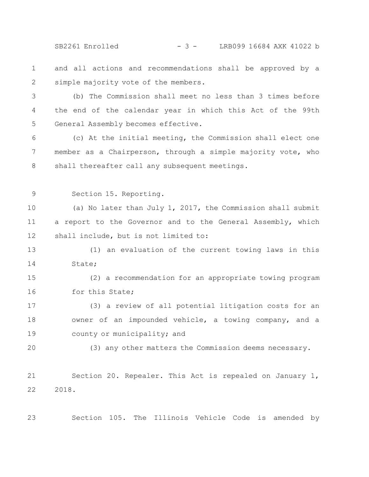SB2261 Enrolled - 3 - LRB099 16684 AXK 41022 b

- and all actions and recommendations shall be approved by a simple majority vote of the members. 1 2
- (b) The Commission shall meet no less than 3 times before the end of the calendar year in which this Act of the 99th General Assembly becomes effective. 3 4 5
- (c) At the initial meeting, the Commission shall elect one member as a Chairperson, through a simple majority vote, who shall thereafter call any subsequent meetings. 6 7 8
- 9

Section 15. Reporting.

(a) No later than July 1, 2017, the Commission shall submit a report to the Governor and to the General Assembly, which shall include, but is not limited to: 10 11 12

(1) an evaluation of the current towing laws in this State; 13 14

(2) a recommendation for an appropriate towing program for this State; 15 16

(3) a review of all potential litigation costs for an owner of an impounded vehicle, a towing company, and a county or municipality; and 17 18 19

20

(3) any other matters the Commission deems necessary.

Section 20. Repealer. This Act is repealed on January 1, 2018. 21 22

23

Section 105. The Illinois Vehicle Code is amended by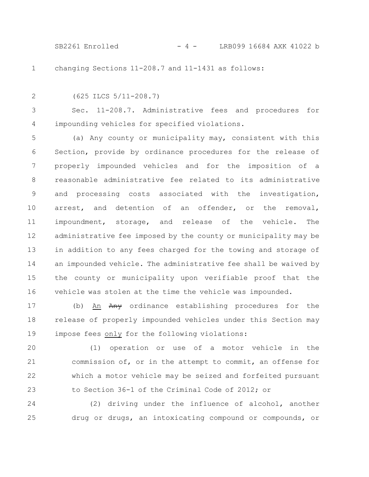SB2261 Enrolled - 4 - LRB099 16684 AXK 41022 b

1

changing Sections 11-208.7 and 11-1431 as follows:

2

(625 ILCS 5/11-208.7)

Sec. 11-208.7. Administrative fees and procedures for impounding vehicles for specified violations. 3 4

(a) Any county or municipality may, consistent with this Section, provide by ordinance procedures for the release of properly impounded vehicles and for the imposition of a reasonable administrative fee related to its administrative and processing costs associated with the investigation, arrest, and detention of an offender, or the removal, impoundment, storage, and release of the vehicle. The administrative fee imposed by the county or municipality may be in addition to any fees charged for the towing and storage of an impounded vehicle. The administrative fee shall be waived by the county or municipality upon verifiable proof that the vehicle was stolen at the time the vehicle was impounded. 5 6 7 8 9 10 11 12 13 14 15 16

(b) An Any ordinance establishing procedures for the release of properly impounded vehicles under this Section may impose fees only for the following violations: 17 18 19

(1) operation or use of a motor vehicle in the commission of, or in the attempt to commit, an offense for which a motor vehicle may be seized and forfeited pursuant to Section 36-1 of the Criminal Code of 2012; or 20 21 22 23

(2) driving under the influence of alcohol, another drug or drugs, an intoxicating compound or compounds, or 24 25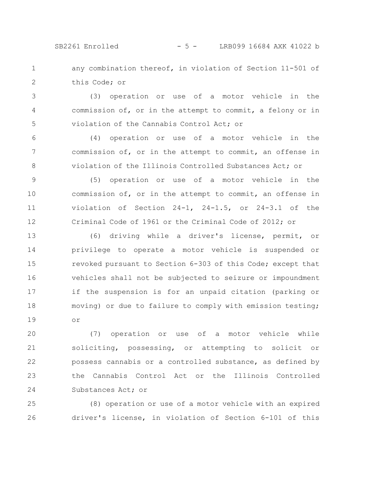SB2261 Enrolled - 5 - LRB099 16684 AXK 41022 b

any combination thereof, in violation of Section 11-501 of this Code; or 1 2

(3) operation or use of a motor vehicle in the commission of, or in the attempt to commit, a felony or in violation of the Cannabis Control Act; or 3 4 5

(4) operation or use of a motor vehicle in the commission of, or in the attempt to commit, an offense in violation of the Illinois Controlled Substances Act; or 6 7 8

(5) operation or use of a motor vehicle in the commission of, or in the attempt to commit, an offense in violation of Section 24-1, 24-1.5, or 24-3.1 of the Criminal Code of 1961 or the Criminal Code of 2012; or 9 10 11 12

(6) driving while a driver's license, permit, or privilege to operate a motor vehicle is suspended or revoked pursuant to Section 6-303 of this Code; except that vehicles shall not be subjected to seizure or impoundment if the suspension is for an unpaid citation (parking or moving) or due to failure to comply with emission testing; or 13 14 15 16 17 18 19

(7) operation or use of a motor vehicle while soliciting, possessing, or attempting to solicit or possess cannabis or a controlled substance, as defined by the Cannabis Control Act or the Illinois Controlled Substances Act; or 20 21 22 23 24

(8) operation or use of a motor vehicle with an expired driver's license, in violation of Section 6-101 of this 25 26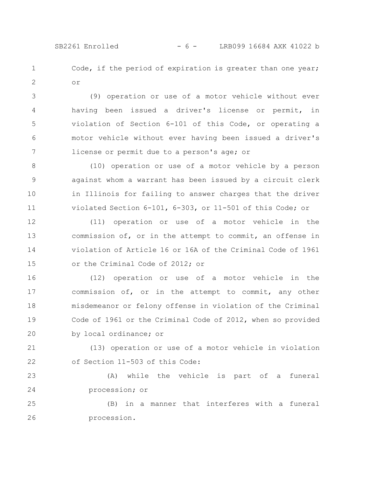Code, if the period of expiration is greater than one year; or 1 2

(9) operation or use of a motor vehicle without ever having been issued a driver's license or permit, in violation of Section 6-101 of this Code, or operating a motor vehicle without ever having been issued a driver's license or permit due to a person's age; or 3 4 5 6 7

(10) operation or use of a motor vehicle by a person against whom a warrant has been issued by a circuit clerk in Illinois for failing to answer charges that the driver violated Section 6-101, 6-303, or 11-501 of this Code; or 8 9 10 11

(11) operation or use of a motor vehicle in the commission of, or in the attempt to commit, an offense in violation of Article 16 or 16A of the Criminal Code of 1961 or the Criminal Code of 2012; or 12 13 14 15

(12) operation or use of a motor vehicle in the commission of, or in the attempt to commit, any other misdemeanor or felony offense in violation of the Criminal Code of 1961 or the Criminal Code of 2012, when so provided by local ordinance; or 16 17 18 19 20

(13) operation or use of a motor vehicle in violation of Section 11-503 of this Code: 21 22

(A) while the vehicle is part of a funeral procession; or 23 24

(B) in a manner that interferes with a funeral procession. 25 26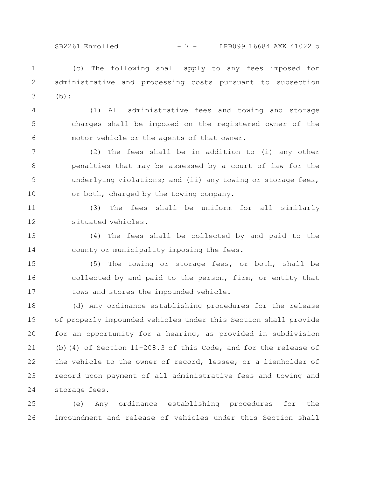SB2261 Enrolled - 7 - LRB099 16684 AXK 41022 b

(c) The following shall apply to any fees imposed for administrative and processing costs pursuant to subsection (b): 1 2 3

(1) All administrative fees and towing and storage charges shall be imposed on the registered owner of the motor vehicle or the agents of that owner. 4 5 6

(2) The fees shall be in addition to (i) any other penalties that may be assessed by a court of law for the underlying violations; and (ii) any towing or storage fees, or both, charged by the towing company. 7 8 9 10

(3) The fees shall be uniform for all similarly situated vehicles. 11 12

(4) The fees shall be collected by and paid to the county or municipality imposing the fees. 13 14

(5) The towing or storage fees, or both, shall be collected by and paid to the person, firm, or entity that tows and stores the impounded vehicle. 15 16 17

(d) Any ordinance establishing procedures for the release of properly impounded vehicles under this Section shall provide for an opportunity for a hearing, as provided in subdivision (b)(4) of Section 11-208.3 of this Code, and for the release of the vehicle to the owner of record, lessee, or a lienholder of record upon payment of all administrative fees and towing and storage fees. 18 19 20 21 22 23 24

(e) Any ordinance establishing procedures for the impoundment and release of vehicles under this Section shall 25 26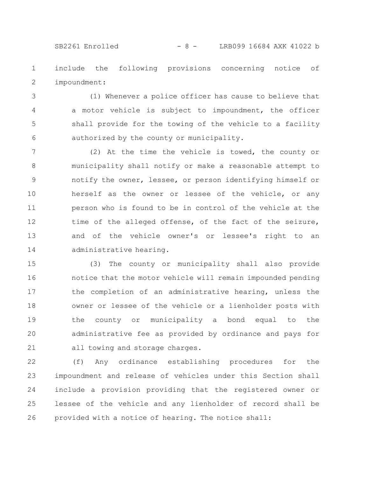## SB2261 Enrolled - 8 - LRB099 16684 AXK 41022 b

include the following provisions concerning notice of impoundment: 1 2

(1) Whenever a police officer has cause to believe that a motor vehicle is subject to impoundment, the officer shall provide for the towing of the vehicle to a facility authorized by the county or municipality. 3 4 5 6

(2) At the time the vehicle is towed, the county or municipality shall notify or make a reasonable attempt to notify the owner, lessee, or person identifying himself or herself as the owner or lessee of the vehicle, or any person who is found to be in control of the vehicle at the time of the alleged offense, of the fact of the seizure, and of the vehicle owner's or lessee's right to an administrative hearing. 7 8 9 10 11 12 13 14

(3) The county or municipality shall also provide notice that the motor vehicle will remain impounded pending the completion of an administrative hearing, unless the owner or lessee of the vehicle or a lienholder posts with the county or municipality a bond equal to the administrative fee as provided by ordinance and pays for all towing and storage charges. 15 16 17 18 19 20 21

(f) Any ordinance establishing procedures for the impoundment and release of vehicles under this Section shall include a provision providing that the registered owner or lessee of the vehicle and any lienholder of record shall be provided with a notice of hearing. The notice shall: 22 23 24 25 26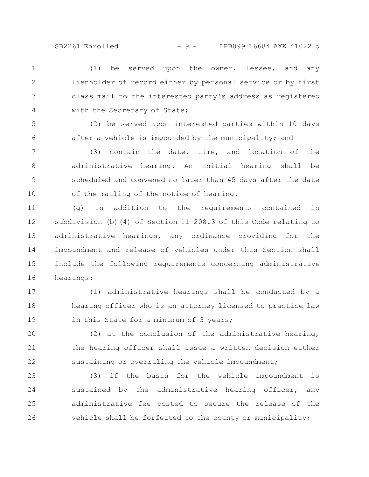(1) be served upon the owner, lessee, and any lienholder of record either by personal service or by first class mail to the interested party's address as registered with the Secretary of State; 1 2 3 4

(2) be served upon interested parties within 10 days after a vehicle is impounded by the municipality; and 5 6

(3) contain the date, time, and location of the administrative hearing. An initial hearing shall be scheduled and convened no later than 45 days after the date of the mailing of the notice of hearing. 7 8 9 10

(g) In addition to the requirements contained in subdivision (b)(4) of Section 11-208.3 of this Code relating to administrative hearings, any ordinance providing for the impoundment and release of vehicles under this Section shall include the following requirements concerning administrative hearings: 11 12 13 14 15 16

(1) administrative hearings shall be conducted by a hearing officer who is an attorney licensed to practice law in this State for a minimum of 3 years; 17 18 19

(2) at the conclusion of the administrative hearing, the hearing officer shall issue a written decision either sustaining or overruling the vehicle impoundment; 20 21 22

(3) if the basis for the vehicle impoundment is sustained by the administrative hearing officer, any administrative fee posted to secure the release of the vehicle shall be forfeited to the county or municipality; 23 24 25 26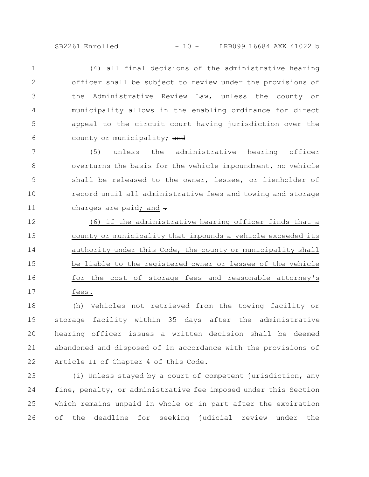(4) all final decisions of the administrative hearing officer shall be subject to review under the provisions of the Administrative Review Law, unless the county or municipality allows in the enabling ordinance for direct appeal to the circuit court having jurisdiction over the county or municipality; and 1 2 3 4 5 6

(5) unless the administrative hearing officer overturns the basis for the vehicle impoundment, no vehicle shall be released to the owner, lessee, or lienholder of record until all administrative fees and towing and storage charges are paid; and  $\div$ 7 8 9 10 11

(6) if the administrative hearing officer finds that a county or municipality that impounds a vehicle exceeded its authority under this Code, the county or municipality shall be liable to the registered owner or lessee of the vehicle for the cost of storage fees and reasonable attorney's fees. 12 13 14 15 16 17

(h) Vehicles not retrieved from the towing facility or storage facility within 35 days after the administrative hearing officer issues a written decision shall be deemed abandoned and disposed of in accordance with the provisions of Article II of Chapter 4 of this Code. 18 19 20 21 22

(i) Unless stayed by a court of competent jurisdiction, any fine, penalty, or administrative fee imposed under this Section which remains unpaid in whole or in part after the expiration of the deadline for seeking judicial review under the 23 24 25 26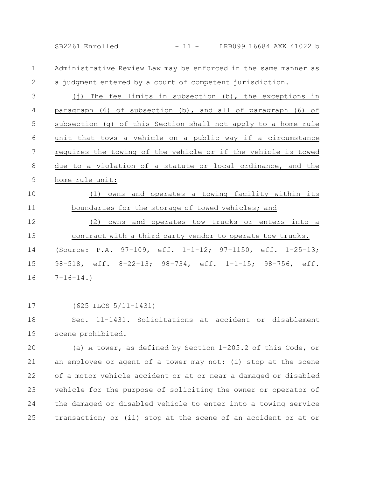SB2261 Enrolled - 11 - LRB099 16684 AXK 41022 b

Administrative Review Law may be enforced in the same manner as a judgment entered by a court of competent jurisdiction. 1 2

(j) The fee limits in subsection (b), the exceptions in paragraph (6) of subsection (b), and all of paragraph (6) of subsection (g) of this Section shall not apply to a home rule unit that tows a vehicle on a public way if a circumstance requires the towing of the vehicle or if the vehicle is towed due to a violation of a statute or local ordinance, and the home rule unit: 3 4 5 6 7 8 9

(1) owns and operates a towing facility within its boundaries for the storage of towed vehicles; and 10 11

(2) owns and operates tow trucks or enters into a contract with a third party vendor to operate tow trucks. (Source: P.A. 97-109, eff. 1-1-12; 97-1150, eff. 1-25-13; 98-518, eff. 8-22-13; 98-734, eff. 1-1-15; 98-756, eff.  $7-16-14.$ 12 13 14 15 16

(625 ILCS 5/11-1431) 17

Sec. 11-1431. Solicitations at accident or disablement scene prohibited. 18 19

(a) A tower, as defined by Section 1-205.2 of this Code, or an employee or agent of a tower may not: (i) stop at the scene of a motor vehicle accident or at or near a damaged or disabled vehicle for the purpose of soliciting the owner or operator of the damaged or disabled vehicle to enter into a towing service transaction; or (ii) stop at the scene of an accident or at or 20 21 22 23 24 25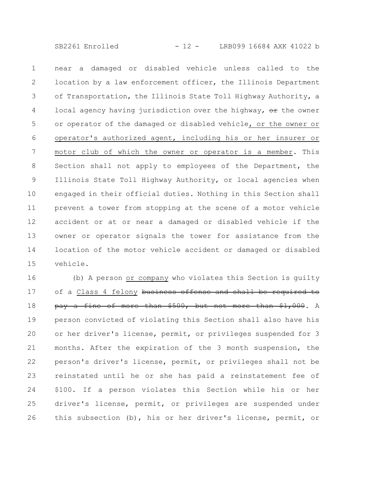near a damaged or disabled vehicle unless called to the location by a law enforcement officer, the Illinois Department of Transportation, the Illinois State Toll Highway Authority, a local agency having jurisdiction over the highway,  $\Theta$ r the owner or operator of the damaged or disabled vehicle, or the owner or operator's authorized agent, including his or her insurer or motor club of which the owner or operator is a member. This Section shall not apply to employees of the Department, the Illinois State Toll Highway Authority, or local agencies when engaged in their official duties. Nothing in this Section shall prevent a tower from stopping at the scene of a motor vehicle accident or at or near a damaged or disabled vehicle if the owner or operator signals the tower for assistance from the location of the motor vehicle accident or damaged or disabled vehicle. 1 2 3 4 5 6 7 8 9 10 11 12 13 14 15

(b) A person or company who violates this Section is guilty of a Class 4 felony business offense and shall be required to pay a fine of more than \$500, but not more than \$1,000. A person convicted of violating this Section shall also have his or her driver's license, permit, or privileges suspended for 3 months. After the expiration of the 3 month suspension, the person's driver's license, permit, or privileges shall not be reinstated until he or she has paid a reinstatement fee of \$100. If a person violates this Section while his or her driver's license, permit, or privileges are suspended under this subsection (b), his or her driver's license, permit, or 16 17 18 19 20 21 22 23 24 25 26